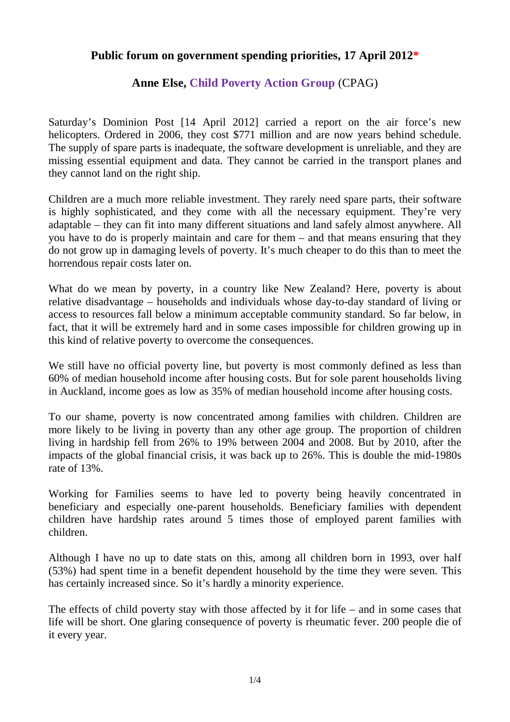## **Public forum on government spending priorities, 17 April 2012\***

## **Anne Else, [Child Poverty Action Group](http://www.cpag.org.nz/)** (CPAG)

Saturday's Dominion Post [14 April 2012] carried a report on the air force's new helicopters. Ordered in 2006, they cost \$771 million and are now years behind schedule. The supply of spare parts is inadequate, the software development is unreliable, and they are missing essential equipment and data. They cannot be carried in the transport planes and they cannot land on the right ship.

Children are a much more reliable investment. They rarely need spare parts, their software is highly sophisticated, and they come with all the necessary equipment. They're very adaptable – they can fit into many different situations and land safely almost anywhere. All you have to do is properly maintain and care for them – and that means ensuring that they do not grow up in damaging levels of poverty. It's much cheaper to do this than to meet the horrendous repair costs later on.

What do we mean by poverty, in a country like New Zealand? Here, poverty is about relative disadvantage – households and individuals whose day-to-day standard of living or access to resources fall below a minimum acceptable community standard. So far below, in fact, that it will be extremely hard and in some cases impossible for children growing up in this kind of relative poverty to overcome the consequences.

We still have no official poverty line, but poverty is most commonly defined as less than 60% of median household income after housing costs. But for sole parent households living in Auckland, income goes as low as 35% of median household income after housing costs.

To our shame, poverty is now concentrated among families with children. Children are more likely to be living in poverty than any other age group. The proportion of children living in hardship fell from 26% to 19% between 2004 and 2008. But by 2010, after the impacts of the global financial crisis, it was back up to 26%. This is double the mid-1980s rate of 13%.

Working for Families seems to have led to poverty being heavily concentrated in beneficiary and especially one-parent households. Beneficiary families with dependent children have hardship rates around 5 times those of employed parent families with children.

Although I have no up to date stats on this, among all children born in 1993, over half (53%) had spent time in a benefit dependent household by the time they were seven. This has certainly increased since. So it's hardly a minority experience.

The effects of child poverty stay with those affected by it for life – and in some cases that life will be short. One glaring consequence of poverty is rheumatic fever. 200 people die of it every year.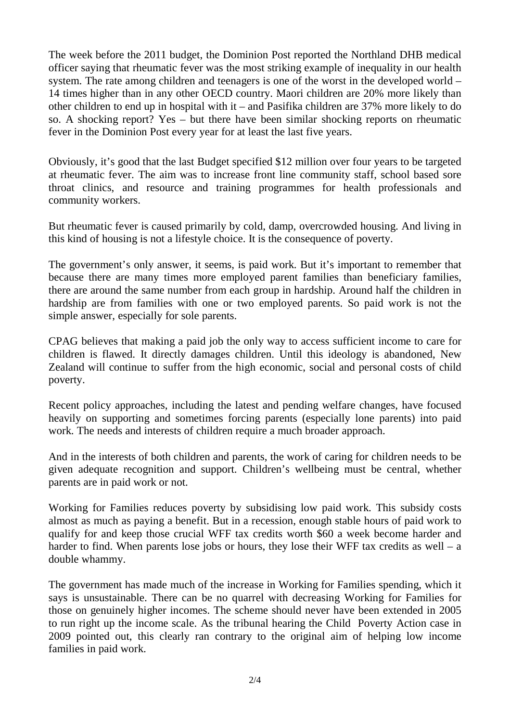The week before the 2011 budget, the Dominion Post reported the Northland DHB medical officer saying that rheumatic fever was the most striking example of inequality in our health system. The rate among children and teenagers is one of the worst in the developed world – 14 times higher than in any other OECD country. Maori children are 20% more likely than other children to end up in hospital with it – and Pasifika children are 37% more likely to do so. A shocking report? Yes – but there have been similar shocking reports on rheumatic fever in the Dominion Post every year for at least the last five years.

Obviously, it's good that the last Budget specified \$12 million over four years to be targeted at rheumatic fever. The aim was to increase front line community staff, school based sore throat clinics, and resource and training programmes for health professionals and community workers.

But rheumatic fever is caused primarily by cold, damp, overcrowded housing. And living in this kind of housing is not a lifestyle choice. It is the consequence of poverty.

The government's only answer, it seems, is paid work. But it's important to remember that because there are many times more employed parent families than beneficiary families, there are around the same number from each group in hardship. Around half the children in hardship are from families with one or two employed parents. So paid work is not the simple answer, especially for sole parents.

CPAG believes that making a paid job the only way to access sufficient income to care for children is flawed. It directly damages children. Until this ideology is abandoned, New Zealand will continue to suffer from the high economic, social and personal costs of child poverty.

Recent policy approaches, including the latest and pending welfare changes, have focused heavily on supporting and sometimes forcing parents (especially lone parents) into paid work. The needs and interests of children require a much broader approach.

And in the interests of both children and parents, the work of caring for children needs to be given adequate recognition and support. Children's wellbeing must be central, whether parents are in paid work or not.

Working for Families reduces poverty by subsidising low paid work. This subsidy costs almost as much as paying a benefit. But in a recession, enough stable hours of paid work to qualify for and keep those crucial WFF tax credits worth \$60 a week become harder and harder to find. When parents lose jobs or hours, they lose their WFF tax credits as well – a double whammy.

The government has made much of the increase in Working for Families spending, which it says is unsustainable. There can be no quarrel with decreasing Working for Families for those on genuinely higher incomes. The scheme should never have been extended in 2005 to run right up the income scale. As the tribunal hearing the Child Poverty Action case in 2009 pointed out, this clearly ran contrary to the original aim of helping low income families in paid work.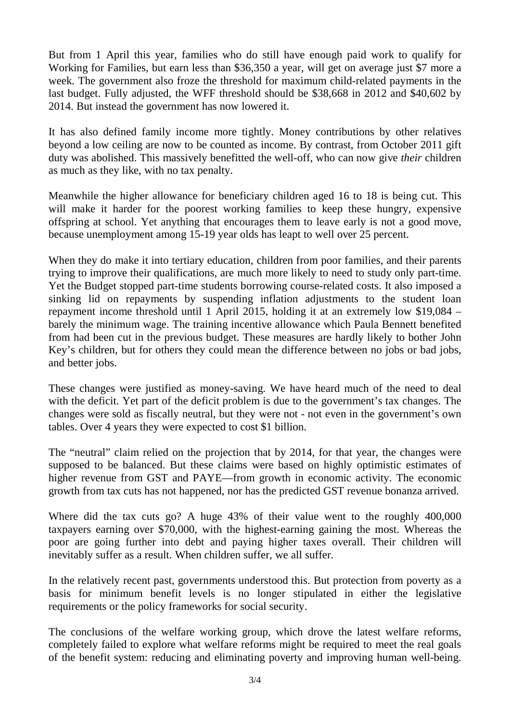But from 1 April this year, families who do still have enough paid work to qualify for Working for Families, but earn less than \$36,350 a year, will get on average just \$7 more a week. The government also froze the threshold for maximum child-related payments in the last budget. Fully adjusted, the WFF threshold should be \$38,668 in 2012 and \$40,602 by 2014. But instead the government has now lowered it.

It has also defined family income more tightly. Money contributions by other relatives beyond a low ceiling are now to be counted as income. By contrast, from October 2011 gift duty was abolished. This massively benefitted the well-off, who can now give *their* children as much as they like, with no tax penalty.

Meanwhile the higher allowance for beneficiary children aged 16 to 18 is being cut. This will make it harder for the poorest working families to keep these hungry, expensive offspring at school. Yet anything that encourages them to leave early is not a good move, because unemployment among 15-19 year olds has leapt to well over 25 percent.

When they do make it into tertiary education, children from poor families, and their parents trying to improve their qualifications, are much more likely to need to study only part-time. Yet the Budget stopped part-time students borrowing course-related costs. It also imposed a sinking lid on repayments by suspending inflation adjustments to the student loan repayment income threshold until 1 April 2015, holding it at an extremely low \$19,084 – barely the minimum wage. The training incentive allowance which Paula Bennett benefited from had been cut in the previous budget. These measures are hardly likely to bother John Key's children, but for others they could mean the difference between no jobs or bad jobs, and better jobs.

These changes were justified as money-saving. We have heard much of the need to deal with the deficit. Yet part of the deficit problem is due to the government's tax changes. The changes were sold as fiscally neutral, but they were not - not even in the government's own tables. Over 4 years they were expected to cost \$1 billion.

The "neutral" claim relied on the projection that by 2014, for that year, the changes were supposed to be balanced. But these claims were based on highly optimistic estimates of higher revenue from GST and PAYE—from growth in economic activity. The economic growth from tax cuts has not happened, nor has the predicted GST revenue bonanza arrived.

Where did the tax cuts go? A huge 43% of their value went to the roughly 400,000 taxpayers earning over \$70,000, with the highest-earning gaining the most. Whereas the poor are going further into debt and paying higher taxes overall. Their children will inevitably suffer as a result. When children suffer, we all suffer.

In the relatively recent past, governments understood this. But protection from poverty as a basis for minimum benefit levels is no longer stipulated in either the legislative requirements or the policy frameworks for social security.

The conclusions of the welfare working group, which drove the latest welfare reforms, completely failed to explore what welfare reforms might be required to meet the real goals of the benefit system: reducing and eliminating poverty and improving human well-being.